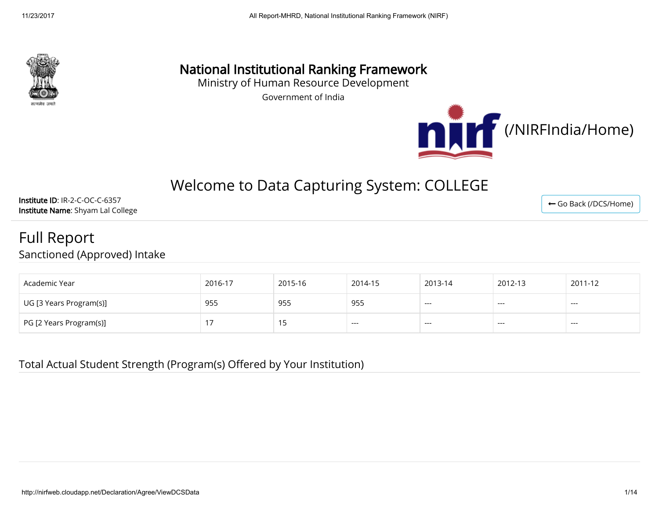

## National Institutional Ranking Framework

Ministry of Human Resource Development

Government of India



← [Go Back \(/DCS/Home\)](http://nirfweb.cloudapp.net/DCS/Home)

# Welcome to Data Capturing System: COLLEGE

Institute ID: IR-2-C-OC-C-6357 Institute Name: Shyam Lal College

### Full Report Sanctioned (Approved) Intake

| Academic Year           | 2016-17 | 2015-16 | 2014-15 | 2013-14 | 2012-13 | 2011-12 |
|-------------------------|---------|---------|---------|---------|---------|---------|
| UG [3 Years Program(s)] | 955     | 955     | 955     | ---     | $---$   | $---$   |
| PG [2 Years Program(s)] |         |         | ----    | ---     | $---$   | $---$   |

Total Actual Student Strength (Program(s) Offered by Your Institution)

http://nirfweb.cloudapp.net/Declaration/Agree/ViewDCSData 1/14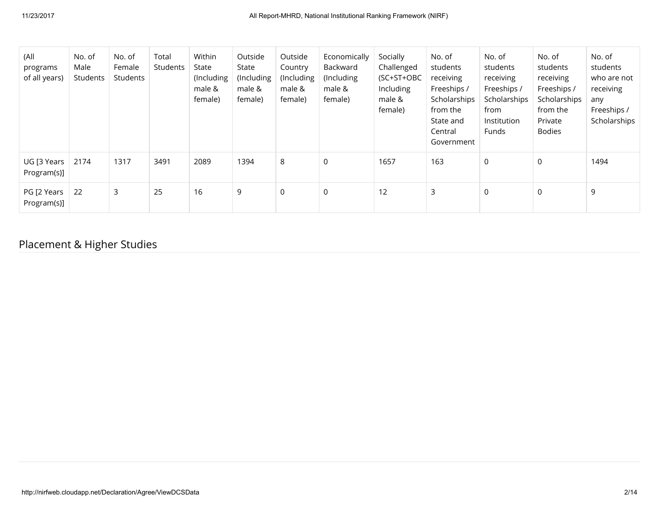| (All<br>programs<br>of all years) | No. of<br>Male<br>Students | No. of<br>Female<br>Students | Total<br><b>Students</b> | Within<br>State<br>(Including<br>male &<br>female) | Outside<br>State<br>(Including<br>male &<br>female) | Outside<br>Country<br>(Including<br>male &<br>female) | Economically<br>Backward<br>(Including)<br>male &<br>female) | Socially<br>Challenged<br>(SC+ST+OBC<br>Including<br>male &<br>female) | No. of<br>students<br>receiving<br>Freeships /<br>Scholarships<br>from the<br>State and<br>Central<br>Government | No. of<br>students<br>receiving<br>Freeships /<br>Scholarships<br>from<br>Institution<br>Funds | No. of<br>students<br>receiving<br>Freeships /<br>Scholarships<br>from the<br>Private<br><b>Bodies</b> | No. of<br>students<br>who are not<br>receiving<br>any<br>Freeships /<br>Scholarships |
|-----------------------------------|----------------------------|------------------------------|--------------------------|----------------------------------------------------|-----------------------------------------------------|-------------------------------------------------------|--------------------------------------------------------------|------------------------------------------------------------------------|------------------------------------------------------------------------------------------------------------------|------------------------------------------------------------------------------------------------|--------------------------------------------------------------------------------------------------------|--------------------------------------------------------------------------------------|
| UG [3 Years<br>Program(s)]        | 2174                       | 1317                         | 3491                     | 2089                                               | 1394                                                | 8                                                     | $\mathbf 0$                                                  | 1657                                                                   | 163                                                                                                              | $\mathsf 0$                                                                                    | $\mathbf 0$                                                                                            | 1494                                                                                 |
| PG [2 Years<br>Program(s)]        | 22                         | 3                            | 25                       | 16                                                 | 9                                                   | $\overline{0}$                                        | $\mathbf 0$                                                  | 12                                                                     | 3                                                                                                                | $\mathbf 0$                                                                                    | 0                                                                                                      | 9                                                                                    |

### Placement & Higher Studies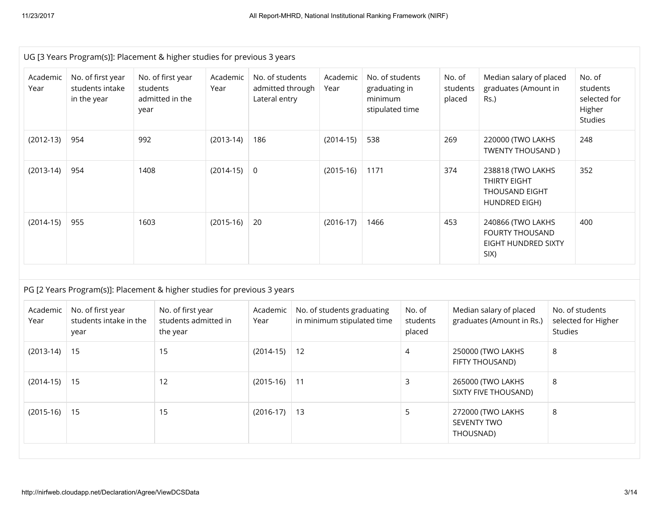| UG [3 Years Program(s)]: Placement & higher studies for previous 3 years |                                                                          |                  |                                                       |                  |                                                      |    |                                                          |                                                                |                              |                                                            |                                                                      |                     |                                                         |
|--------------------------------------------------------------------------|--------------------------------------------------------------------------|------------------|-------------------------------------------------------|------------------|------------------------------------------------------|----|----------------------------------------------------------|----------------------------------------------------------------|------------------------------|------------------------------------------------------------|----------------------------------------------------------------------|---------------------|---------------------------------------------------------|
| Academic<br>Year                                                         | No. of first year<br>students intake<br>in the year                      | students<br>year | No. of first year<br>admitted in the                  | Academic<br>Year | No. of students<br>admitted through<br>Lateral entry |    | Academic<br>Year                                         | No. of students<br>graduating in<br>minimum<br>stipulated time |                              | No. of<br>students<br>placed                               | Median salary of placed<br>graduates (Amount in<br>Rs.)              |                     | No. of<br>students<br>selected for<br>Higher<br>Studies |
| $(2012-13)$                                                              | 954                                                                      | 992              |                                                       | $(2013-14)$      | 186                                                  |    | $(2014-15)$                                              | 538                                                            |                              | 269                                                        | 220000 (TWO LAKHS<br><b>TWENTY THOUSAND)</b>                         |                     | 248                                                     |
| $(2013-14)$                                                              | 954                                                                      | 1408             |                                                       | $(2014-15)$      | $\overline{0}$                                       |    | $(2015-16)$                                              | 1171                                                           |                              | 374                                                        | 238818 (TWO LAKHS<br>THIRTY EIGHT<br>THOUSAND EIGHT<br>HUNDRED EIGH) |                     | 352                                                     |
| $(2014-15)$                                                              | 955                                                                      | 1603             |                                                       | $(2015-16)$      | 20                                                   |    | $(2016-17)$                                              | 1466                                                           |                              | 453<br>240866 (TWO LAKHS<br><b>FOURTY THOUSAND</b><br>SIX) |                                                                      | EIGHT HUNDRED SIXTY | 400                                                     |
|                                                                          | PG [2 Years Program(s)]: Placement & higher studies for previous 3 years |                  |                                                       |                  |                                                      |    |                                                          |                                                                |                              |                                                            |                                                                      |                     |                                                         |
| Academic<br>Year                                                         | No. of first year<br>students intake in the<br>year                      |                  | No. of first year<br>students admitted in<br>the year |                  | Academic<br>Year                                     |    | No. of students graduating<br>in minimum stipulated time |                                                                | No. of<br>students<br>placed |                                                            | Median salary of placed<br>graduates (Amount in Rs.)                 | Studies             | No. of students<br>selected for Higher                  |
| $(2013-14)$                                                              | 15                                                                       |                  | 15                                                    |                  | $(2014-15)$                                          | 12 |                                                          |                                                                | $\overline{4}$               |                                                            | 250000 (TWO LAKHS<br>FIFTY THOUSAND)                                 | 8                   |                                                         |
| $(2014-15)$                                                              | 15                                                                       |                  | 12                                                    |                  | $(2015-16)$                                          | 11 |                                                          |                                                                | 3                            |                                                            | 265000 (TWO LAKHS<br>SIXTY FIVE THOUSAND)                            | 8                   |                                                         |
| $(2015-16)$                                                              | 15                                                                       |                  | 15                                                    |                  | $(2016-17)$                                          | 13 |                                                          |                                                                | 5                            | <b>SEVENTY TWO</b><br>THOUSNAD)                            | 272000 (TWO LAKHS                                                    | 8                   |                                                         |
|                                                                          |                                                                          |                  |                                                       |                  |                                                      |    |                                                          |                                                                |                              |                                                            |                                                                      |                     |                                                         |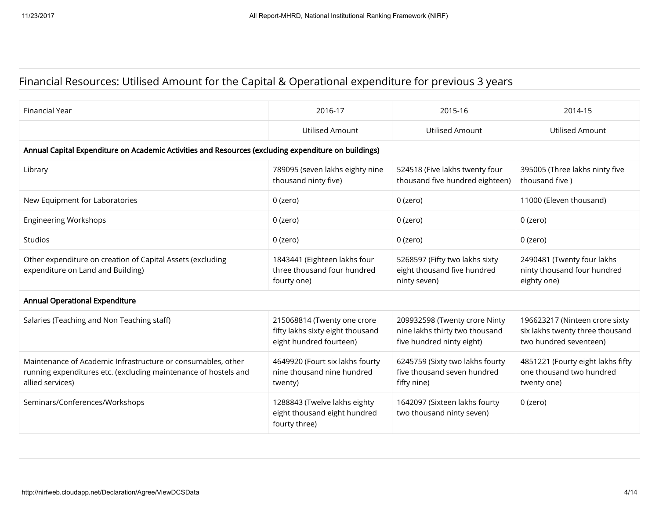### Financial Resources: Utilised Amount for the Capital & Operational expenditure for previous 3 years

| Financial Year                                                                                                                                      | 2016-17                                                                                    | 2015-16                                                                                      | 2014-15                                                                                     |
|-----------------------------------------------------------------------------------------------------------------------------------------------------|--------------------------------------------------------------------------------------------|----------------------------------------------------------------------------------------------|---------------------------------------------------------------------------------------------|
|                                                                                                                                                     | <b>Utilised Amount</b>                                                                     | <b>Utilised Amount</b>                                                                       | <b>Utilised Amount</b>                                                                      |
| Annual Capital Expenditure on Academic Activities and Resources (excluding expenditure on buildings)                                                |                                                                                            |                                                                                              |                                                                                             |
| Library                                                                                                                                             | 789095 (seven lakhs eighty nine<br>thousand ninty five)                                    | 524518 (Five lakhs twenty four<br>thousand five hundred eighteen)                            | 395005 (Three lakhs ninty five<br>thousand five)                                            |
| New Equipment for Laboratories                                                                                                                      | $0$ (zero)                                                                                 | $0$ (zero)                                                                                   | 11000 (Eleven thousand)                                                                     |
| <b>Engineering Workshops</b>                                                                                                                        | $0$ (zero)                                                                                 | 0 (zero)                                                                                     | 0 (zero)                                                                                    |
| <b>Studios</b>                                                                                                                                      | $0$ (zero)                                                                                 | 0 (zero)                                                                                     | 0 (zero)                                                                                    |
| Other expenditure on creation of Capital Assets (excluding<br>expenditure on Land and Building)                                                     | 1843441 (Eighteen lakhs four<br>three thousand four hundred<br>fourty one)                 | 5268597 (Fifty two lakhs sixty<br>eight thousand five hundred<br>ninty seven)                | 2490481 (Twenty four lakhs<br>ninty thousand four hundred<br>eighty one)                    |
| <b>Annual Operational Expenditure</b>                                                                                                               |                                                                                            |                                                                                              |                                                                                             |
| Salaries (Teaching and Non Teaching staff)                                                                                                          | 215068814 (Twenty one crore<br>fifty lakhs sixty eight thousand<br>eight hundred fourteen) | 209932598 (Twenty crore Ninty<br>nine lakhs thirty two thousand<br>five hundred ninty eight) | 196623217 (Ninteen crore sixty<br>six lakhs twenty three thousand<br>two hundred seventeen) |
| Maintenance of Academic Infrastructure or consumables, other<br>running expenditures etc. (excluding maintenance of hostels and<br>allied services) | 4649920 (Fourt six lakhs fourty<br>nine thousand nine hundred<br>twenty)                   | 6245759 (Sixty two lakhs fourty<br>five thousand seven hundred<br>fifty nine)                | 4851221 (Fourty eight lakhs fifty<br>one thousand two hundred<br>twenty one)                |
| Seminars/Conferences/Workshops                                                                                                                      | 1288843 (Twelve lakhs eighty<br>eight thousand eight hundred<br>fourty three)              | 1642097 (Sixteen lakhs fourty<br>two thousand ninty seven)                                   | 0 (zero)                                                                                    |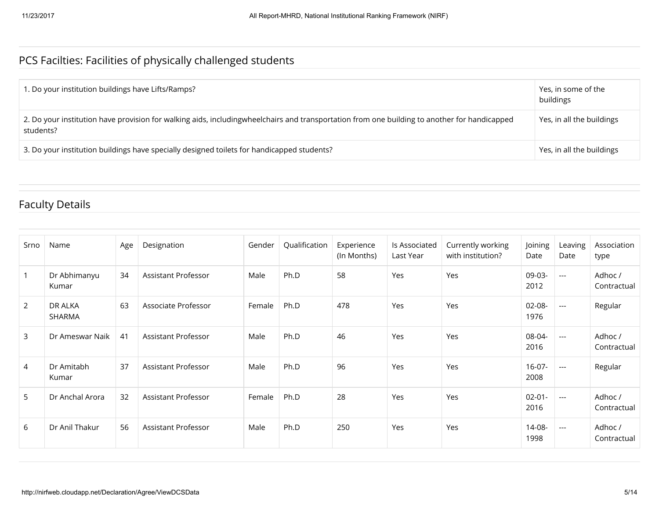### PCS Facilties: Facilities of physically challenged students

| . Do your institution buildings have Lifts/Ramps?                                                                                                         | Yes, in some of the<br>buildings |
|-----------------------------------------------------------------------------------------------------------------------------------------------------------|----------------------------------|
| 2. Do your institution have provision for walking aids, includingwheelchairs and transportation from one building to another for handicapped<br>students? | Yes, in all the buildings        |
| 3. Do your institution buildings have specially designed toilets for handicapped students?                                                                | Yes, in all the buildings        |

### Faculty Details

| Srno         | Name                     | Age | Designation         | Gender | Qualification | Experience<br>(In Months) | Is Associated<br>Last Year | Currently working<br>with institution? | Joining<br>Date     | Leaving<br>Date          | Association<br>type    |
|--------------|--------------------------|-----|---------------------|--------|---------------|---------------------------|----------------------------|----------------------------------------|---------------------|--------------------------|------------------------|
| $\mathbf{1}$ | Dr Abhimanyu<br>Kumar    | 34  | Assistant Professor | Male   | Ph.D          | 58                        | Yes                        | Yes                                    | 09-03-<br>2012      | $\hspace{0.05cm} \ldots$ | Adhoc /<br>Contractual |
| 2            | DR ALKA<br><b>SHARMA</b> | 63  | Associate Professor | Female | Ph.D          | 478                       | Yes                        | Yes                                    | 02-08-<br>1976      | $--$                     | Regular                |
| 3            | Dr Ameswar Naik          | 41  | Assistant Professor | Male   | Ph.D          | 46                        | Yes                        | Yes                                    | 08-04-<br>2016      | $\hspace{0.05cm} \ldots$ | Adhoc /<br>Contractual |
| 4            | Dr Amitabh<br>Kumar      | 37  | Assistant Professor | Male   | Ph.D          | 96                        | Yes                        | Yes                                    | $16-07-$<br>2008    | $---$                    | Regular                |
| 5            | Dr Anchal Arora          | 32  | Assistant Professor | Female | Ph.D          | 28                        | Yes                        | Yes                                    | $02 - 01 -$<br>2016 | $---$                    | Adhoc /<br>Contractual |
| 6            | Dr Anil Thakur           | 56  | Assistant Professor | Male   | Ph.D          | 250                       | Yes                        | Yes                                    | 14-08-<br>1998      | $---$                    | Adhoc /<br>Contractual |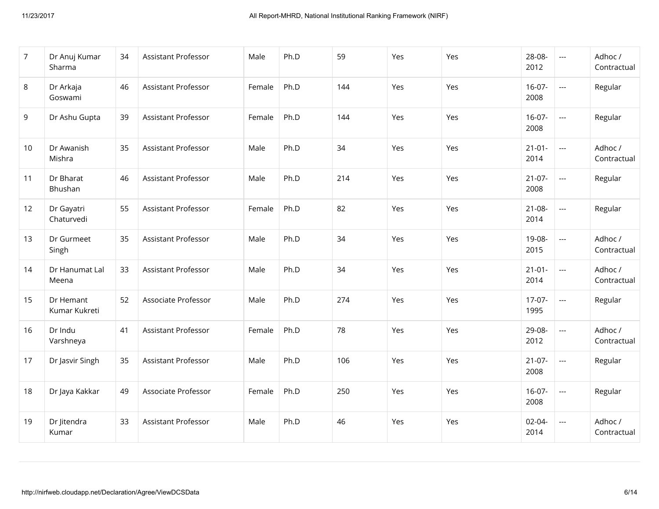| $\overline{7}$ | Dr Anuj Kumar<br>Sharma    | 34 | Assistant Professor        | Male   | Ph.D | 59  | Yes | Yes | 28-08-<br>2012      | $\scriptstyle\cdots$     | Adhoc /<br>Contractual |
|----------------|----------------------------|----|----------------------------|--------|------|-----|-----|-----|---------------------|--------------------------|------------------------|
| 8              | Dr Arkaja<br>Goswami       | 46 | Assistant Professor        | Female | Ph.D | 144 | Yes | Yes | $16-07-$<br>2008    | $\overline{\phantom{a}}$ | Regular                |
| 9              | Dr Ashu Gupta              | 39 | <b>Assistant Professor</b> | Female | Ph.D | 144 | Yes | Yes | $16-07-$<br>2008    | $\overline{\phantom{a}}$ | Regular                |
| 10             | Dr Awanish<br>Mishra       | 35 | Assistant Professor        | Male   | Ph.D | 34  | Yes | Yes | $21 - 01 -$<br>2014 | $\overline{\phantom{a}}$ | Adhoc /<br>Contractual |
| 11             | Dr Bharat<br>Bhushan       | 46 | <b>Assistant Professor</b> | Male   | Ph.D | 214 | Yes | Yes | $21-07-$<br>2008    | $\overline{\phantom{a}}$ | Regular                |
| 12             | Dr Gayatri<br>Chaturvedi   | 55 | Assistant Professor        | Female | Ph.D | 82  | Yes | Yes | $21 - 08 -$<br>2014 | $\overline{\phantom{a}}$ | Regular                |
| 13             | Dr Gurmeet<br>Singh        | 35 | Assistant Professor        | Male   | Ph.D | 34  | Yes | Yes | 19-08-<br>2015      | $\overline{\phantom{a}}$ | Adhoc /<br>Contractual |
| 14             | Dr Hanumat Lal<br>Meena    | 33 | <b>Assistant Professor</b> | Male   | Ph.D | 34  | Yes | Yes | $21 - 01 -$<br>2014 | $\overline{\phantom{a}}$ | Adhoc /<br>Contractual |
| 15             | Dr Hemant<br>Kumar Kukreti | 52 | Associate Professor        | Male   | Ph.D | 274 | Yes | Yes | $17-07-$<br>1995    | $\overline{\phantom{a}}$ | Regular                |
| 16             | Dr Indu<br>Varshneya       | 41 | Assistant Professor        | Female | Ph.D | 78  | Yes | Yes | 29-08-<br>2012      | $\overline{a}$           | Adhoc /<br>Contractual |
| 17             | Dr Jasvir Singh            | 35 | <b>Assistant Professor</b> | Male   | Ph.D | 106 | Yes | Yes | $21-07-$<br>2008    | $\overline{\phantom{a}}$ | Regular                |
| 18             | Dr Jaya Kakkar             | 49 | Associate Professor        | Female | Ph.D | 250 | Yes | Yes | $16-07-$<br>2008    | $\overline{\phantom{a}}$ | Regular                |
| 19             | Dr Jitendra<br>Kumar       | 33 | <b>Assistant Professor</b> | Male   | Ph.D | 46  | Yes | Yes | $02 - 04 -$<br>2014 | $\overline{\phantom{a}}$ | Adhoc /<br>Contractual |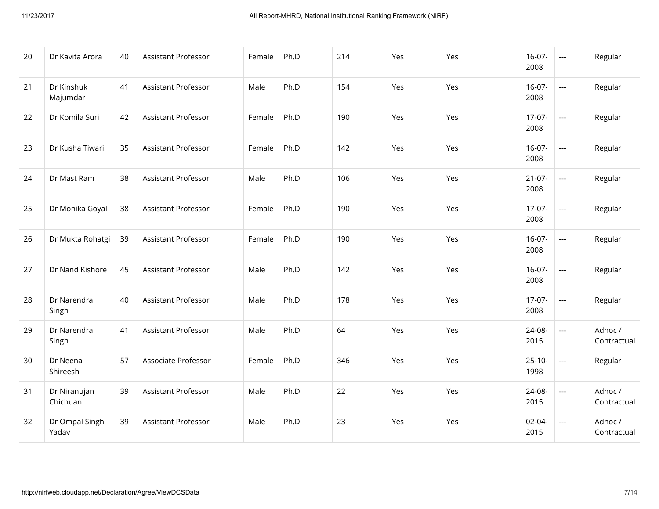| 20 | Dr Kavita Arora          | 40 | Assistant Professor        | Female | Ph.D | 214 | Yes | Yes | $16-07-$<br>2008    | $\hspace{0.05cm} \ldots$                 | Regular                |
|----|--------------------------|----|----------------------------|--------|------|-----|-----|-----|---------------------|------------------------------------------|------------------------|
| 21 | Dr Kinshuk<br>Majumdar   | 41 | <b>Assistant Professor</b> | Male   | Ph.D | 154 | Yes | Yes | $16-07-$<br>2008    | $\hspace{0.05cm} \ldots \hspace{0.05cm}$ | Regular                |
| 22 | Dr Komila Suri           | 42 | Assistant Professor        | Female | Ph.D | 190 | Yes | Yes | $17-07-$<br>2008    | $\overline{\phantom{a}}$                 | Regular                |
| 23 | Dr Kusha Tiwari          | 35 | Assistant Professor        | Female | Ph.D | 142 | Yes | Yes | $16-07-$<br>2008    | $\overline{\phantom{a}}$                 | Regular                |
| 24 | Dr Mast Ram              | 38 | Assistant Professor        | Male   | Ph.D | 106 | Yes | Yes | $21-07-$<br>2008    | $\hspace{0.05cm} \ldots \hspace{0.05cm}$ | Regular                |
| 25 | Dr Monika Goyal          | 38 | <b>Assistant Professor</b> | Female | Ph.D | 190 | Yes | Yes | $17-07-$<br>2008    | $\hspace{0.05cm} \ldots \hspace{0.05cm}$ | Regular                |
| 26 | Dr Mukta Rohatgi         | 39 | Assistant Professor        | Female | Ph.D | 190 | Yes | Yes | $16-07-$<br>2008    | $\hspace{0.05cm} \ldots \hspace{0.05cm}$ | Regular                |
| 27 | Dr Nand Kishore          | 45 | Assistant Professor        | Male   | Ph.D | 142 | Yes | Yes | $16-07-$<br>2008    | $\overline{\phantom{a}}$                 | Regular                |
| 28 | Dr Narendra<br>Singh     | 40 | Assistant Professor        | Male   | Ph.D | 178 | Yes | Yes | $17-07-$<br>2008    | $\hspace{0.05cm} \ldots \hspace{0.05cm}$ | Regular                |
| 29 | Dr Narendra<br>Singh     | 41 | Assistant Professor        | Male   | Ph.D | 64  | Yes | Yes | 24-08-<br>2015      | ---                                      | Adhoc /<br>Contractual |
| 30 | Dr Neena<br>Shireesh     | 57 | Associate Professor        | Female | Ph.D | 346 | Yes | Yes | $25 - 10 -$<br>1998 | $\overline{\phantom{a}}$                 | Regular                |
| 31 | Dr Niranujan<br>Chichuan | 39 | Assistant Professor        | Male   | Ph.D | 22  | Yes | Yes | 24-08-<br>2015      | $\overline{\phantom{a}}$                 | Adhoc /<br>Contractual |
| 32 | Dr Ompal Singh<br>Yadav  | 39 | <b>Assistant Professor</b> | Male   | Ph.D | 23  | Yes | Yes | $02 - 04 -$<br>2015 | $\hspace{0.05cm} \ldots$                 | Adhoc /<br>Contractual |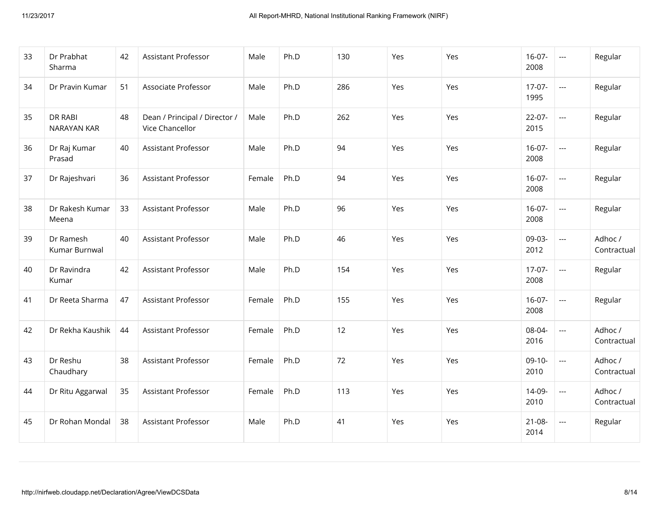| 33 | Dr Prabhat<br>Sharma       | 42 | Assistant Professor                              | Male   | Ph.D | 130 | Yes | Yes | $16-07-$<br>2008    | $\scriptstyle\cdots$     | Regular                |
|----|----------------------------|----|--------------------------------------------------|--------|------|-----|-----|-----|---------------------|--------------------------|------------------------|
| 34 | Dr Pravin Kumar            | 51 | Associate Professor                              | Male   | Ph.D | 286 | Yes | Yes | $17-07-$<br>1995    | $\overline{\phantom{a}}$ | Regular                |
| 35 | DR RABI<br>NARAYAN KAR     | 48 | Dean / Principal / Director /<br>Vice Chancellor | Male   | Ph.D | 262 | Yes | Yes | $22-07-$<br>2015    | $\overline{\phantom{a}}$ | Regular                |
| 36 | Dr Raj Kumar<br>Prasad     | 40 | Assistant Professor                              | Male   | Ph.D | 94  | Yes | Yes | $16 - 07 -$<br>2008 | $\overline{\phantom{a}}$ | Regular                |
| 37 | Dr Rajeshvari              | 36 | <b>Assistant Professor</b>                       | Female | Ph.D | 94  | Yes | Yes | $16-07-$<br>2008    | $\overline{\phantom{a}}$ | Regular                |
| 38 | Dr Rakesh Kumar<br>Meena   | 33 | <b>Assistant Professor</b>                       | Male   | Ph.D | 96  | Yes | Yes | $16-07-$<br>2008    | $\overline{\phantom{a}}$ | Regular                |
| 39 | Dr Ramesh<br>Kumar Burnwal | 40 | <b>Assistant Professor</b>                       | Male   | Ph.D | 46  | Yes | Yes | 09-03-<br>2012      | $\overline{a}$           | Adhoc /<br>Contractual |
| 40 | Dr Ravindra<br>Kumar       | 42 | Assistant Professor                              | Male   | Ph.D | 154 | Yes | Yes | $17-07-$<br>2008    | $\overline{\phantom{a}}$ | Regular                |
| 41 | Dr Reeta Sharma            | 47 | Assistant Professor                              | Female | Ph.D | 155 | Yes | Yes | $16-07-$<br>2008    | $\overline{a}$           | Regular                |
| 42 | Dr Rekha Kaushik           | 44 | Assistant Professor                              | Female | Ph.D | 12  | Yes | Yes | 08-04-<br>2016      | $\overline{a}$           | Adhoc /<br>Contractual |
| 43 | Dr Reshu<br>Chaudhary      | 38 | Assistant Professor                              | Female | Ph.D | 72  | Yes | Yes | $09-10-$<br>2010    | $\overline{a}$           | Adhoc /<br>Contractual |
| 44 | Dr Ritu Aggarwal           | 35 | Assistant Professor                              | Female | Ph.D | 113 | Yes | Yes | 14-09-<br>2010      | $\overline{\phantom{a}}$ | Adhoc /<br>Contractual |
| 45 | Dr Rohan Mondal            | 38 | <b>Assistant Professor</b>                       | Male   | Ph.D | 41  | Yes | Yes | $21 - 08 -$<br>2014 | $\overline{a}$           | Regular                |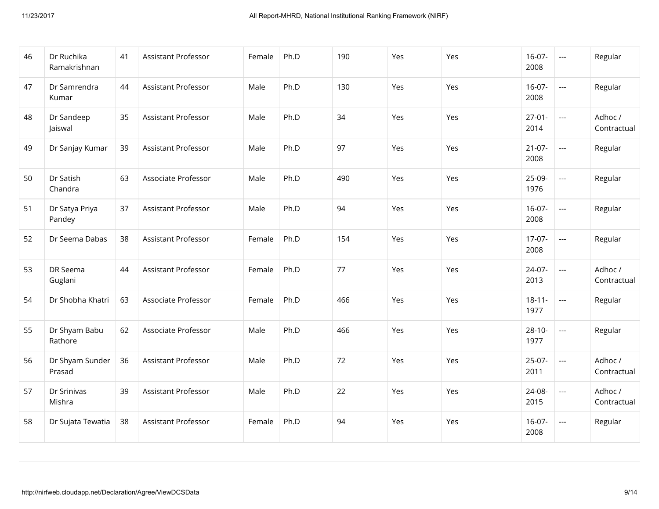| 46 | Dr Ruchika<br>Ramakrishnan | 41 | Assistant Professor        | Female | Ph.D | 190 | Yes | Yes | $16-07-$<br>2008    | $\scriptstyle \cdots$    | Regular                |
|----|----------------------------|----|----------------------------|--------|------|-----|-----|-----|---------------------|--------------------------|------------------------|
| 47 | Dr Samrendra<br>Kumar      | 44 | Assistant Professor        | Male   | Ph.D | 130 | Yes | Yes | $16-07-$<br>2008    | $\overline{\phantom{a}}$ | Regular                |
| 48 | Dr Sandeep<br>Jaiswal      | 35 | <b>Assistant Professor</b> | Male   | Ph.D | 34  | Yes | Yes | $27-01-$<br>2014    | $\overline{\phantom{a}}$ | Adhoc /<br>Contractual |
| 49 | Dr Sanjay Kumar            | 39 | Assistant Professor        | Male   | Ph.D | 97  | Yes | Yes | $21-07-$<br>2008    | $\overline{a}$           | Regular                |
| 50 | Dr Satish<br>Chandra       | 63 | Associate Professor        | Male   | Ph.D | 490 | Yes | Yes | 25-09-<br>1976      | $\overline{\phantom{a}}$ | Regular                |
| 51 | Dr Satya Priya<br>Pandey   | 37 | Assistant Professor        | Male   | Ph.D | 94  | Yes | Yes | $16-07-$<br>2008    | $\overline{a}$           | Regular                |
| 52 | Dr Seema Dabas             | 38 | Assistant Professor        | Female | Ph.D | 154 | Yes | Yes | $17-07-$<br>2008    | $\overline{\phantom{a}}$ | Regular                |
| 53 | DR Seema<br>Guglani        | 44 | Assistant Professor        | Female | Ph.D | 77  | Yes | Yes | 24-07-<br>2013      | $\overline{a}$           | Adhoc /<br>Contractual |
| 54 | Dr Shobha Khatri           | 63 | Associate Professor        | Female | Ph.D | 466 | Yes | Yes | $18 - 11 -$<br>1977 | $\overline{\phantom{a}}$ | Regular                |
| 55 | Dr Shyam Babu<br>Rathore   | 62 | Associate Professor        | Male   | Ph.D | 466 | Yes | Yes | $28 - 10 -$<br>1977 | $\overline{a}$           | Regular                |
| 56 | Dr Shyam Sunder<br>Prasad  | 36 | <b>Assistant Professor</b> | Male   | Ph.D | 72  | Yes | Yes | $25-07-$<br>2011    | $\overline{a}$           | Adhoc /<br>Contractual |
| 57 | Dr Srinivas<br>Mishra      | 39 | Assistant Professor        | Male   | Ph.D | 22  | Yes | Yes | 24-08-<br>2015      | $\overline{a}$           | Adhoc /<br>Contractual |
| 58 | Dr Sujata Tewatia          | 38 | Assistant Professor        | Female | Ph.D | 94  | Yes | Yes | $16-07-$<br>2008    | $\overline{\phantom{a}}$ | Regular                |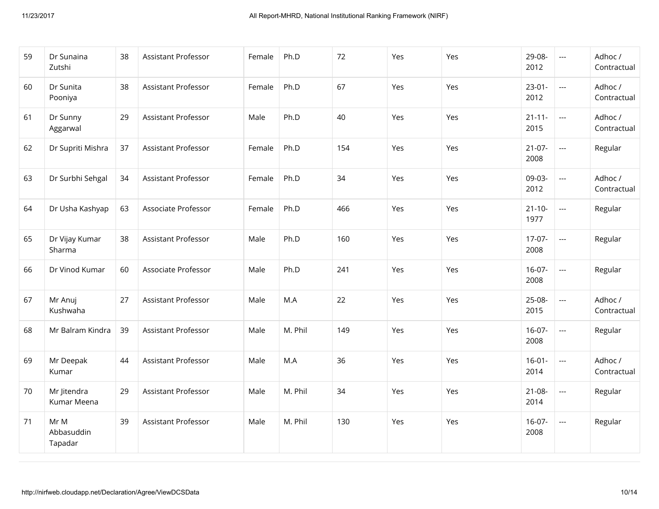| 59 | Dr Sunaina<br>Zutshi          | 38 | Assistant Professor        | Female | Ph.D    | 72  | Yes | Yes | 29-08-<br>2012      | $\overline{a}$                                                   | Adhoc /<br>Contractual |
|----|-------------------------------|----|----------------------------|--------|---------|-----|-----|-----|---------------------|------------------------------------------------------------------|------------------------|
| 60 | Dr Sunita<br>Pooniya          | 38 | Assistant Professor        | Female | Ph.D    | 67  | Yes | Yes | $23-01-$<br>2012    | $\overline{a}$                                                   | Adhoc /<br>Contractual |
| 61 | Dr Sunny<br>Aggarwal          | 29 | <b>Assistant Professor</b> | Male   | Ph.D    | 40  | Yes | Yes | $21 - 11 -$<br>2015 | $\overline{a}$                                                   | Adhoc /<br>Contractual |
| 62 | Dr Supriti Mishra             | 37 | Assistant Professor        | Female | Ph.D    | 154 | Yes | Yes | $21-07-$<br>2008    | $\hspace{0.05cm} \ldots$                                         | Regular                |
| 63 | Dr Surbhi Sehgal              | 34 | Assistant Professor        | Female | Ph.D    | 34  | Yes | Yes | 09-03-<br>2012      | $\overline{a}$                                                   | Adhoc /<br>Contractual |
| 64 | Dr Usha Kashyap               | 63 | Associate Professor        | Female | Ph.D    | 466 | Yes | Yes | $21 - 10 -$<br>1977 | $\mathbb{H}^{\mathbb{H}^{\mathbb{H}}}_{\mathbb{H}^{\mathbb{H}}}$ | Regular                |
| 65 | Dr Vijay Kumar<br>Sharma      | 38 | Assistant Professor        | Male   | Ph.D    | 160 | Yes | Yes | $17-07-$<br>2008    | $\overline{\phantom{a}}$                                         | Regular                |
| 66 | Dr Vinod Kumar                | 60 | Associate Professor        | Male   | Ph.D    | 241 | Yes | Yes | $16-07-$<br>2008    | $\overline{\phantom{a}}$                                         | Regular                |
| 67 | Mr Anuj<br>Kushwaha           | 27 | Assistant Professor        | Male   | M.A     | 22  | Yes | Yes | 25-08-<br>2015      | $\overline{\phantom{a}}$                                         | Adhoc /<br>Contractual |
| 68 | Mr Balram Kindra              | 39 | Assistant Professor        | Male   | M. Phil | 149 | Yes | Yes | $16-07-$<br>2008    | $\overline{\phantom{a}}$                                         | Regular                |
| 69 | Mr Deepak<br>Kumar            | 44 | Assistant Professor        | Male   | M.A     | 36  | Yes | Yes | $16 - 01 -$<br>2014 | $\overline{a}$                                                   | Adhoc /<br>Contractual |
| 70 | Mr Jitendra<br>Kumar Meena    | 29 | Assistant Professor        | Male   | M. Phil | 34  | Yes | Yes | $21 - 08 -$<br>2014 | $\scriptstyle\cdots$                                             | Regular                |
| 71 | Mr M<br>Abbasuddin<br>Tapadar | 39 | <b>Assistant Professor</b> | Male   | M. Phil | 130 | Yes | Yes | $16-07-$<br>2008    | $\overline{\phantom{a}}$                                         | Regular                |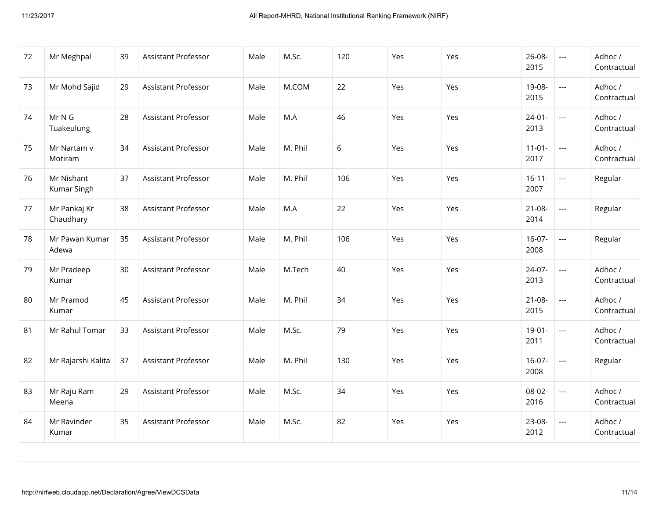| 72 | Mr Meghpal                | 39 | <b>Assistant Professor</b> | Male | M.Sc.   | 120 | Yes | Yes | 26-08-<br>2015      | $\hspace{0.05cm} \ldots$                 | Adhoc /<br>Contractual |
|----|---------------------------|----|----------------------------|------|---------|-----|-----|-----|---------------------|------------------------------------------|------------------------|
| 73 | Mr Mohd Sajid             | 29 | Assistant Professor        | Male | M.COM   | 22  | Yes | Yes | 19-08-<br>2015      | $\hspace{0.05cm} \ldots \hspace{0.05cm}$ | Adhoc /<br>Contractual |
| 74 | Mr N G<br>Tuakeulung      | 28 | Assistant Professor        | Male | M.A     | 46  | Yes | Yes | $24 - 01 -$<br>2013 | $\hspace{0.05cm} \ldots \hspace{0.05cm}$ | Adhoc /<br>Contractual |
| 75 | Mr Nartam v<br>Motiram    | 34 | <b>Assistant Professor</b> | Male | M. Phil | 6   | Yes | Yes | $11-01-$<br>2017    | $\overline{\phantom{a}}$                 | Adhoc /<br>Contractual |
| 76 | Mr Nishant<br>Kumar Singh | 37 | <b>Assistant Professor</b> | Male | M. Phil | 106 | Yes | Yes | $16 - 11 -$<br>2007 | $\overline{\phantom{a}}$                 | Regular                |
| 77 | Mr Pankaj Kr<br>Chaudhary | 38 | Assistant Professor        | Male | M.A     | 22  | Yes | Yes | $21 - 08 -$<br>2014 | $\hspace{0.05cm} \ldots \hspace{0.05cm}$ | Regular                |
| 78 | Mr Pawan Kumar<br>Adewa   | 35 | <b>Assistant Professor</b> | Male | M. Phil | 106 | Yes | Yes | $16-07-$<br>2008    | $\overline{\phantom{a}}$                 | Regular                |
| 79 | Mr Pradeep<br>Kumar       | 30 | Assistant Professor        | Male | M.Tech  | 40  | Yes | Yes | 24-07-<br>2013      | $\overline{\phantom{a}}$                 | Adhoc /<br>Contractual |
| 80 | Mr Pramod<br>Kumar        | 45 | Assistant Professor        | Male | M. Phil | 34  | Yes | Yes | $21 - 08 -$<br>2015 | $\overline{\phantom{a}}$                 | Adhoc /<br>Contractual |
| 81 | Mr Rahul Tomar            | 33 | Assistant Professor        | Male | M.Sc.   | 79  | Yes | Yes | $19-01-$<br>2011    | $\hspace{0.05cm} \ldots$                 | Adhoc /<br>Contractual |
| 82 | Mr Rajarshi Kalita        | 37 | Assistant Professor        | Male | M. Phil | 130 | Yes | Yes | $16-07-$<br>2008    | $\overline{\phantom{a}}$                 | Regular                |
| 83 | Mr Raju Ram<br>Meena      | 29 | Assistant Professor        | Male | M.Sc.   | 34  | Yes | Yes | 08-02-<br>2016      | $\overline{\phantom{a}}$                 | Adhoc /<br>Contractual |
| 84 | Mr Ravinder<br>Kumar      | 35 | <b>Assistant Professor</b> | Male | M.Sc.   | 82  | Yes | Yes | 23-08-<br>2012      | $\hspace{0.05cm} \ldots$                 | Adhoc /<br>Contractual |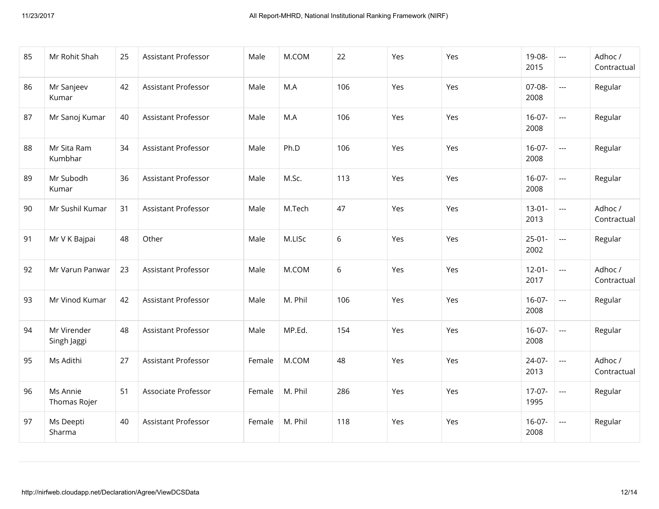| 85 | Mr Rohit Shah              | 25 | Assistant Professor        | Male   | M.COM   | 22  | Yes | Yes | 19-08-<br>2015      | $\scriptstyle\cdots$     | Adhoc /<br>Contractual |
|----|----------------------------|----|----------------------------|--------|---------|-----|-----|-----|---------------------|--------------------------|------------------------|
| 86 | Mr Sanjeev<br>Kumar        | 42 | <b>Assistant Professor</b> | Male   | M.A     | 106 | Yes | Yes | 07-08-<br>2008      | $\overline{\phantom{a}}$ | Regular                |
| 87 | Mr Sanoj Kumar             | 40 | Assistant Professor        | Male   | M.A     | 106 | Yes | Yes | $16-07-$<br>2008    | $\overline{\phantom{a}}$ | Regular                |
| 88 | Mr Sita Ram<br>Kumbhar     | 34 | Assistant Professor        | Male   | Ph.D    | 106 | Yes | Yes | $16-07-$<br>2008    | $\overline{\phantom{a}}$ | Regular                |
| 89 | Mr Subodh<br>Kumar         | 36 | Assistant Professor        | Male   | M.Sc.   | 113 | Yes | Yes | $16-07-$<br>2008    | $\overline{a}$           | Regular                |
| 90 | Mr Sushil Kumar            | 31 | <b>Assistant Professor</b> | Male   | M.Tech  | 47  | Yes | Yes | $13 - 01 -$<br>2013 | $\overline{\phantom{a}}$ | Adhoc /<br>Contractual |
| 91 | Mr V K Bajpai              | 48 | Other                      | Male   | M.LISc  | 6   | Yes | Yes | $25 - 01 -$<br>2002 | $\overline{a}$           | Regular                |
| 92 | Mr Varun Panwar            | 23 | Assistant Professor        | Male   | M.COM   | 6   | Yes | Yes | $12 - 01 -$<br>2017 | $\overline{\phantom{a}}$ | Adhoc /<br>Contractual |
| 93 | Mr Vinod Kumar             | 42 | <b>Assistant Professor</b> | Male   | M. Phil | 106 | Yes | Yes | $16-07-$<br>2008    | $\overline{\phantom{a}}$ | Regular                |
| 94 | Mr Virender<br>Singh Jaggi | 48 | Assistant Professor        | Male   | MP.Ed.  | 154 | Yes | Yes | $16-07-$<br>2008    | $\overline{\phantom{a}}$ | Regular                |
| 95 | Ms Adithi                  | 27 | <b>Assistant Professor</b> | Female | M.COM   | 48  | Yes | Yes | 24-07-<br>2013      | $\overline{a}$           | Adhoc /<br>Contractual |
| 96 | Ms Annie<br>Thomas Rojer   | 51 | Associate Professor        | Female | M. Phil | 286 | Yes | Yes | $17-07-$<br>1995    | $\hspace{0.05cm} \ldots$ | Regular                |
| 97 | Ms Deepti<br>Sharma        | 40 | <b>Assistant Professor</b> | Female | M. Phil | 118 | Yes | Yes | $16-07-$<br>2008    | $\overline{\phantom{a}}$ | Regular                |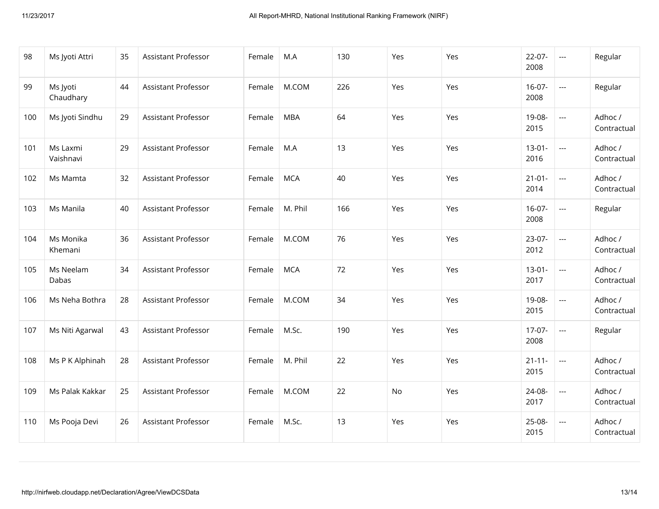| 98  | Ms Jyoti Attri        | 35 | <b>Assistant Professor</b> | Female | M.A        | 130 | Yes | Yes | $22-07-$<br>2008    | $\hspace{0.05cm} \ldots$                 | Regular                |
|-----|-----------------------|----|----------------------------|--------|------------|-----|-----|-----|---------------------|------------------------------------------|------------------------|
| 99  | Ms Jyoti<br>Chaudhary | 44 | <b>Assistant Professor</b> | Female | M.COM      | 226 | Yes | Yes | $16-07-$<br>2008    | $\overline{\phantom{a}}$                 | Regular                |
| 100 | Ms Jyoti Sindhu       | 29 | Assistant Professor        | Female | <b>MBA</b> | 64  | Yes | Yes | 19-08-<br>2015      | $\hspace{0.05cm} \ldots$                 | Adhoc /<br>Contractual |
| 101 | Ms Laxmi<br>Vaishnavi | 29 | <b>Assistant Professor</b> | Female | M.A        | 13  | Yes | Yes | $13-01-$<br>2016    | $\hspace{0.05cm} \ldots \hspace{0.05cm}$ | Adhoc /<br>Contractual |
| 102 | Ms Mamta              | 32 | Assistant Professor        | Female | <b>MCA</b> | 40  | Yes | Yes | $21 - 01 -$<br>2014 | $\hspace{0.05cm} \ldots \hspace{0.05cm}$ | Adhoc /<br>Contractual |
| 103 | Ms Manila             | 40 | <b>Assistant Professor</b> | Female | M. Phil    | 166 | Yes | Yes | $16-07-$<br>2008    | $\overline{a}$                           | Regular                |
| 104 | Ms Monika<br>Khemani  | 36 | Assistant Professor        | Female | M.COM      | 76  | Yes | Yes | $23-07-$<br>2012    | $\hspace{0.05cm} \ldots$                 | Adhoc /<br>Contractual |
| 105 | Ms Neelam<br>Dabas    | 34 | Assistant Professor        | Female | <b>MCA</b> | 72  | Yes | Yes | $13-01-$<br>2017    | $\overline{a}$                           | Adhoc /<br>Contractual |
| 106 | Ms Neha Bothra        | 28 | Assistant Professor        | Female | M.COM      | 34  | Yes | Yes | 19-08-<br>2015      | $\hspace{0.05cm} \ldots$                 | Adhoc /<br>Contractual |
| 107 | Ms Niti Agarwal       | 43 | Assistant Professor        | Female | M.Sc.      | 190 | Yes | Yes | $17-07-$<br>2008    | $\hspace{0.05cm} \ldots \hspace{0.05cm}$ | Regular                |
| 108 | Ms P K Alphinah       | 28 | Assistant Professor        | Female | M. Phil    | 22  | Yes | Yes | $21 - 11 -$<br>2015 | $\hspace{0.05cm} \ldots$                 | Adhoc /<br>Contractual |
| 109 | Ms Palak Kakkar       | 25 | <b>Assistant Professor</b> | Female | M.COM      | 22  | No  | Yes | 24-08-<br>2017      | $\overline{\phantom{a}}$                 | Adhoc /<br>Contractual |
| 110 | Ms Pooja Devi         | 26 | Assistant Professor        | Female | M.Sc.      | 13  | Yes | Yes | 25-08-<br>2015      | $\hspace{0.05cm} \ldots$                 | Adhoc /<br>Contractual |